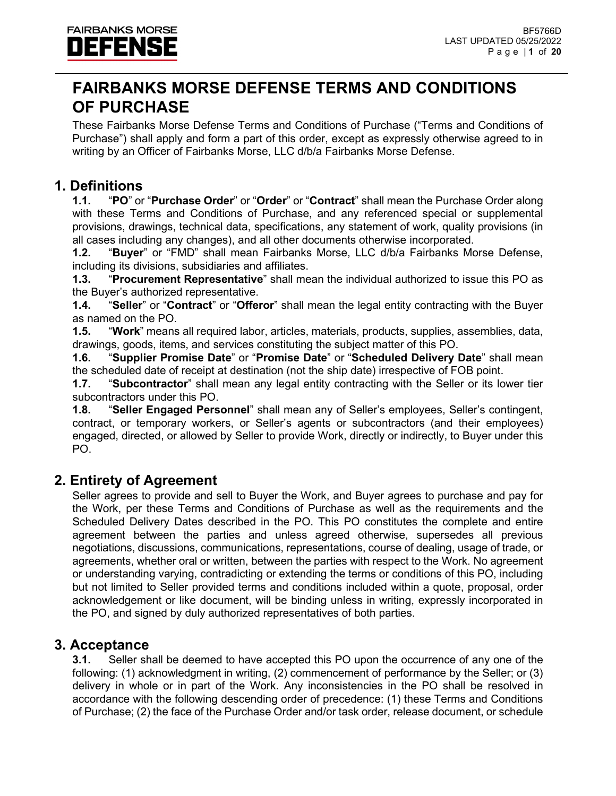# **FAIRBANKS MORSE DEFENSE TERMS AND CONDITIONS OF PURCHASE**

These Fairbanks Morse Defense Terms and Conditions of Purchase ("Terms and Conditions of Purchase") shall apply and form a part of this order, except as expressly otherwise agreed to in writing by an Officer of Fairbanks Morse, LLC d/b/a Fairbanks Morse Defense.

# **1. Definitions**

**1.1.** "**PO**" or "**Purchase Order**" or "**Order**" or "**Contract**" shall mean the Purchase Order along with these Terms and Conditions of Purchase, and any referenced special or supplemental provisions, drawings, technical data, specifications, any statement of work, quality provisions (in all cases including any changes), and all other documents otherwise incorporated.

**1.2.** "**Buyer**" or "FMD" shall mean Fairbanks Morse, LLC d/b/a Fairbanks Morse Defense, including its divisions, subsidiaries and affiliates.

**1.3.** "**Procurement Representative**" shall mean the individual authorized to issue this PO as the Buyer's authorized representative.

**1.4.** "**Seller**" or "**Contract**" or "**Offeror**" shall mean the legal entity contracting with the Buyer as named on the PO.

**1.5.** "**Work**" means all required labor, articles, materials, products, supplies, assemblies, data, drawings, goods, items, and services constituting the subject matter of this PO.

**1.6.** "**Supplier Promise Date**" or "**Promise Date**" or "**Scheduled Delivery Date**" shall mean the scheduled date of receipt at destination (not the ship date) irrespective of FOB point.

**1.7.** "**Subcontractor**" shall mean any legal entity contracting with the Seller or its lower tier subcontractors under this PO.

**1.8.** "**Seller Engaged Personnel**" shall mean any of Seller's employees, Seller's contingent, contract, or temporary workers, or Seller's agents or subcontractors (and their employees) engaged, directed, or allowed by Seller to provide Work, directly or indirectly, to Buyer under this PO.

# **2. Entirety of Agreement**

Seller agrees to provide and sell to Buyer the Work, and Buyer agrees to purchase and pay for the Work, per these Terms and Conditions of Purchase as well as the requirements and the Scheduled Delivery Dates described in the PO. This PO constitutes the complete and entire agreement between the parties and unless agreed otherwise, supersedes all previous negotiations, discussions, communications, representations, course of dealing, usage of trade, or agreements, whether oral or written, between the parties with respect to the Work. No agreement or understanding varying, contradicting or extending the terms or conditions of this PO, including but not limited to Seller provided terms and conditions included within a quote, proposal, order acknowledgement or like document, will be binding unless in writing, expressly incorporated in the PO, and signed by duly authorized representatives of both parties.

# **3. Acceptance**

**3.1.** Seller shall be deemed to have accepted this PO upon the occurrence of any one of the following: (1) acknowledgment in writing, (2) commencement of performance by the Seller; or (3) delivery in whole or in part of the Work. Any inconsistencies in the PO shall be resolved in accordance with the following descending order of precedence: (1) these Terms and Conditions of Purchase; (2) the face of the Purchase Order and/or task order, release document, or schedule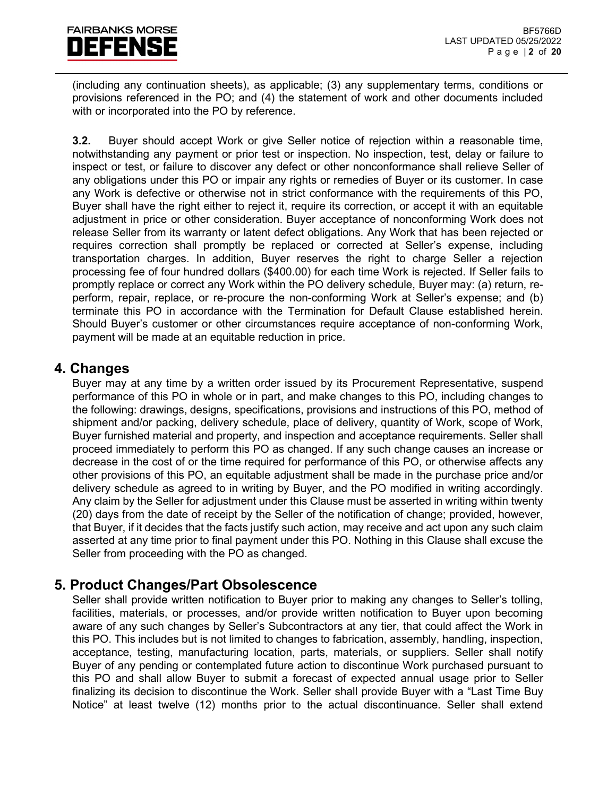# **FAIRBANKS MORSE** EFENS

(including any continuation sheets), as applicable; (3) any supplementary terms, conditions or provisions referenced in the PO; and (4) the statement of work and other documents included with or incorporated into the PO by reference.

**3.2.** Buyer should accept Work or give Seller notice of rejection within a reasonable time, notwithstanding any payment or prior test or inspection. No inspection, test, delay or failure to inspect or test, or failure to discover any defect or other nonconformance shall relieve Seller of any obligations under this PO or impair any rights or remedies of Buyer or its customer. In case any Work is defective or otherwise not in strict conformance with the requirements of this PO, Buyer shall have the right either to reject it, require its correction, or accept it with an equitable adjustment in price or other consideration. Buyer acceptance of nonconforming Work does not release Seller from its warranty or latent defect obligations. Any Work that has been rejected or requires correction shall promptly be replaced or corrected at Seller's expense, including transportation charges. In addition, Buyer reserves the right to charge Seller a rejection processing fee of four hundred dollars (\$400.00) for each time Work is rejected. If Seller fails to promptly replace or correct any Work within the PO delivery schedule, Buyer may: (a) return, reperform, repair, replace, or re-procure the non-conforming Work at Seller's expense; and (b) terminate this PO in accordance with the Termination for Default Clause established herein. Should Buyer's customer or other circumstances require acceptance of non-conforming Work, payment will be made at an equitable reduction in price.

#### **4. Changes**

Buyer may at any time by a written order issued by its Procurement Representative, suspend performance of this PO in whole or in part, and make changes to this PO, including changes to the following: drawings, designs, specifications, provisions and instructions of this PO, method of shipment and/or packing, delivery schedule, place of delivery, quantity of Work, scope of Work, Buyer furnished material and property, and inspection and acceptance requirements. Seller shall proceed immediately to perform this PO as changed. If any such change causes an increase or decrease in the cost of or the time required for performance of this PO, or otherwise affects any other provisions of this PO, an equitable adjustment shall be made in the purchase price and/or delivery schedule as agreed to in writing by Buyer, and the PO modified in writing accordingly. Any claim by the Seller for adjustment under this Clause must be asserted in writing within twenty (20) days from the date of receipt by the Seller of the notification of change; provided, however, that Buyer, if it decides that the facts justify such action, may receive and act upon any such claim asserted at any time prior to final payment under this PO. Nothing in this Clause shall excuse the Seller from proceeding with the PO as changed.

# **5. Product Changes/Part Obsolescence**

Seller shall provide written notification to Buyer prior to making any changes to Seller's tolling, facilities, materials, or processes, and/or provide written notification to Buyer upon becoming aware of any such changes by Seller's Subcontractors at any tier, that could affect the Work in this PO. This includes but is not limited to changes to fabrication, assembly, handling, inspection, acceptance, testing, manufacturing location, parts, materials, or suppliers. Seller shall notify Buyer of any pending or contemplated future action to discontinue Work purchased pursuant to this PO and shall allow Buyer to submit a forecast of expected annual usage prior to Seller finalizing its decision to discontinue the Work. Seller shall provide Buyer with a "Last Time Buy Notice" at least twelve (12) months prior to the actual discontinuance. Seller shall extend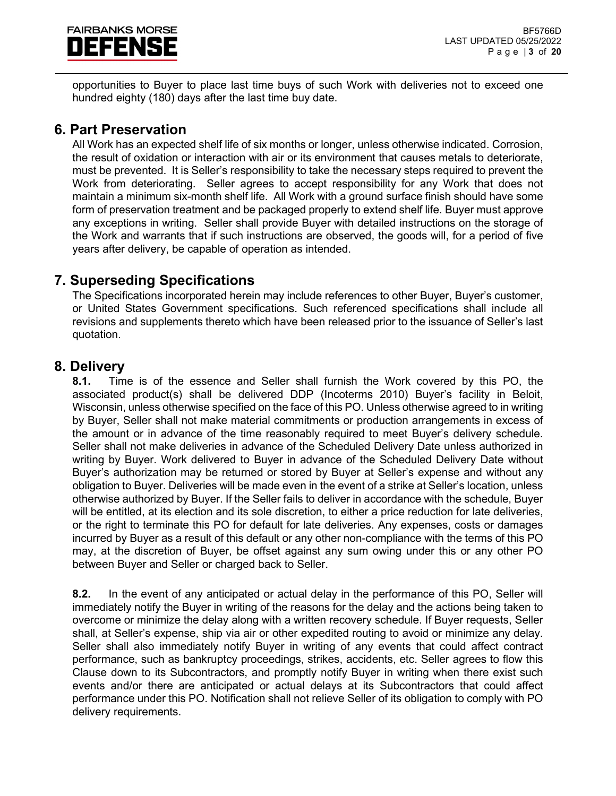

opportunities to Buyer to place last time buys of such Work with deliveries not to exceed one hundred eighty (180) days after the last time buy date.

#### **6. Part Preservation**

All Work has an expected shelf life of six months or longer, unless otherwise indicated. Corrosion, the result of oxidation or interaction with air or its environment that causes metals to deteriorate, must be prevented. It is Seller's responsibility to take the necessary steps required to prevent the Work from deteriorating. Seller agrees to accept responsibility for any Work that does not maintain a minimum six-month shelf life. All Work with a ground surface finish should have some form of preservation treatment and be packaged properly to extend shelf life. Buyer must approve any exceptions in writing. Seller shall provide Buyer with detailed instructions on the storage of the Work and warrants that if such instructions are observed, the goods will, for a period of five years after delivery, be capable of operation as intended.

# **7. Superseding Specifications**

The Specifications incorporated herein may include references to other Buyer, Buyer's customer, or United States Government specifications. Such referenced specifications shall include all revisions and supplements thereto which have been released prior to the issuance of Seller's last quotation.

#### **8. Delivery**

**8.1.** Time is of the essence and Seller shall furnish the Work covered by this PO, the associated product(s) shall be delivered DDP (Incoterms 2010) Buyer's facility in Beloit, Wisconsin, unless otherwise specified on the face of this PO. Unless otherwise agreed to in writing by Buyer, Seller shall not make material commitments or production arrangements in excess of the amount or in advance of the time reasonably required to meet Buyer's delivery schedule. Seller shall not make deliveries in advance of the Scheduled Delivery Date unless authorized in writing by Buyer. Work delivered to Buyer in advance of the Scheduled Delivery Date without Buyer's authorization may be returned or stored by Buyer at Seller's expense and without any obligation to Buyer. Deliveries will be made even in the event of a strike at Seller's location, unless otherwise authorized by Buyer. If the Seller fails to deliver in accordance with the schedule, Buyer will be entitled, at its election and its sole discretion, to either a price reduction for late deliveries, or the right to terminate this PO for default for late deliveries. Any expenses, costs or damages incurred by Buyer as a result of this default or any other non-compliance with the terms of this PO may, at the discretion of Buyer, be offset against any sum owing under this or any other PO between Buyer and Seller or charged back to Seller.

**8.2.** In the event of any anticipated or actual delay in the performance of this PO, Seller will immediately notify the Buyer in writing of the reasons for the delay and the actions being taken to overcome or minimize the delay along with a written recovery schedule. If Buyer requests, Seller shall, at Seller's expense, ship via air or other expedited routing to avoid or minimize any delay. Seller shall also immediately notify Buyer in writing of any events that could affect contract performance, such as bankruptcy proceedings, strikes, accidents, etc. Seller agrees to flow this Clause down to its Subcontractors, and promptly notify Buyer in writing when there exist such events and/or there are anticipated or actual delays at its Subcontractors that could affect performance under this PO. Notification shall not relieve Seller of its obligation to comply with PO delivery requirements.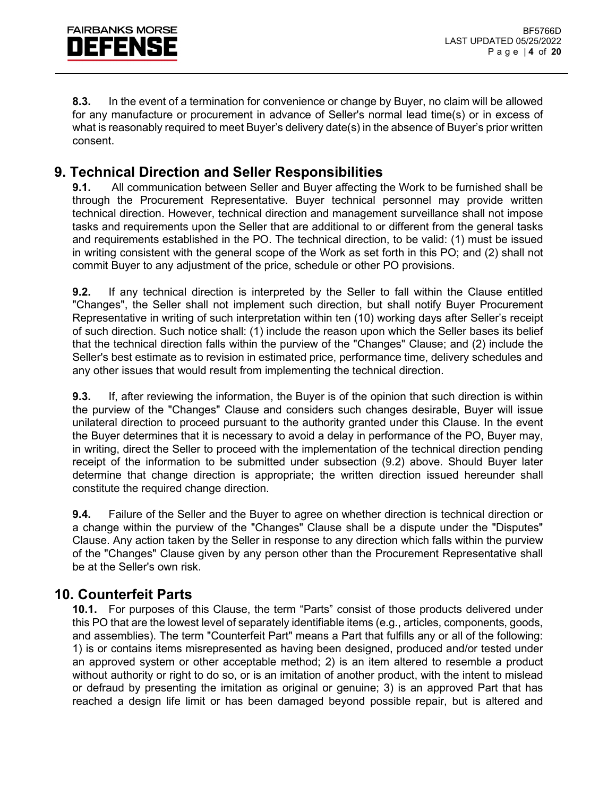**8.3.** In the event of a termination for convenience or change by Buyer, no claim will be allowed for any manufacture or procurement in advance of Seller's normal lead time(s) or in excess of what is reasonably required to meet Buyer's delivery date(s) in the absence of Buyer's prior written consent.

# **9. Technical Direction and Seller Responsibilities**

**9.1.** All communication between Seller and Buyer affecting the Work to be furnished shall be through the Procurement Representative. Buyer technical personnel may provide written technical direction. However, technical direction and management surveillance shall not impose tasks and requirements upon the Seller that are additional to or different from the general tasks and requirements established in the PO. The technical direction, to be valid: (1) must be issued in writing consistent with the general scope of the Work as set forth in this PO; and (2) shall not commit Buyer to any adjustment of the price, schedule or other PO provisions.

**9.2.** If any technical direction is interpreted by the Seller to fall within the Clause entitled "Changes", the Seller shall not implement such direction, but shall notify Buyer Procurement Representative in writing of such interpretation within ten (10) working days after Seller's receipt of such direction. Such notice shall: (1) include the reason upon which the Seller bases its belief that the technical direction falls within the purview of the "Changes" Clause; and (2) include the Seller's best estimate as to revision in estimated price, performance time, delivery schedules and any other issues that would result from implementing the technical direction.

**9.3.** If, after reviewing the information, the Buyer is of the opinion that such direction is within the purview of the "Changes" Clause and considers such changes desirable, Buyer will issue unilateral direction to proceed pursuant to the authority granted under this Clause. In the event the Buyer determines that it is necessary to avoid a delay in performance of the PO, Buyer may, in writing, direct the Seller to proceed with the implementation of the technical direction pending receipt of the information to be submitted under subsection (9.2) above. Should Buyer later determine that change direction is appropriate; the written direction issued hereunder shall constitute the required change direction.

**9.4.** Failure of the Seller and the Buyer to agree on whether direction is technical direction or a change within the purview of the "Changes" Clause shall be a dispute under the "Disputes" Clause. Any action taken by the Seller in response to any direction which falls within the purview of the "Changes" Clause given by any person other than the Procurement Representative shall be at the Seller's own risk.

# **10. Counterfeit Parts**

**10.1.** For purposes of this Clause, the term "Parts" consist of those products delivered under this PO that are the lowest level of separately identifiable items (e.g., articles, components, goods, and assemblies). The term "Counterfeit Part" means a Part that fulfills any or all of the following: 1) is or contains items misrepresented as having been designed, produced and/or tested under an approved system or other acceptable method; 2) is an item altered to resemble a product without authority or right to do so, or is an imitation of another product, with the intent to mislead or defraud by presenting the imitation as original or genuine; 3) is an approved Part that has reached a design life limit or has been damaged beyond possible repair, but is altered and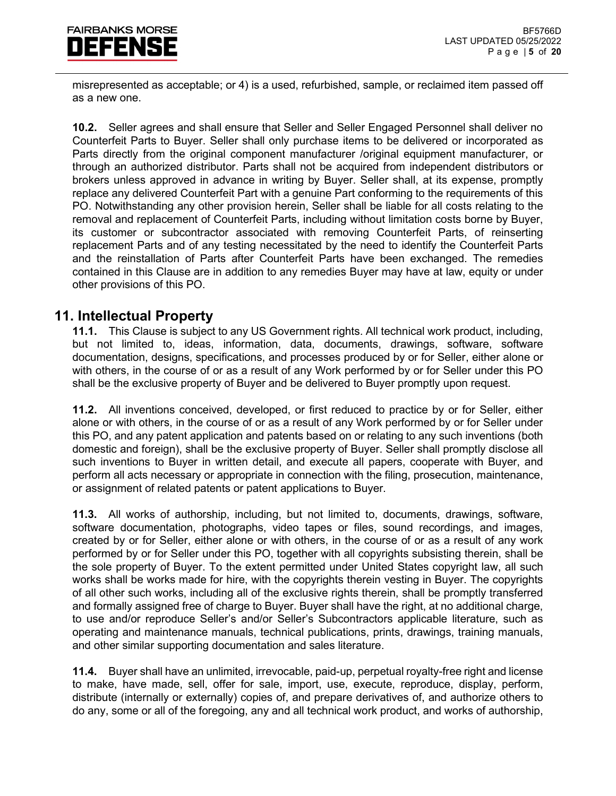misrepresented as acceptable; or 4) is a used, refurbished, sample, or reclaimed item passed off as a new one.

**10.2.** Seller agrees and shall ensure that Seller and Seller Engaged Personnel shall deliver no Counterfeit Parts to Buyer. Seller shall only purchase items to be delivered or incorporated as Parts directly from the original component manufacturer /original equipment manufacturer, or through an authorized distributor. Parts shall not be acquired from independent distributors or brokers unless approved in advance in writing by Buyer. Seller shall, at its expense, promptly replace any delivered Counterfeit Part with a genuine Part conforming to the requirements of this PO. Notwithstanding any other provision herein, Seller shall be liable for all costs relating to the removal and replacement of Counterfeit Parts, including without limitation costs borne by Buyer, its customer or subcontractor associated with removing Counterfeit Parts, of reinserting replacement Parts and of any testing necessitated by the need to identify the Counterfeit Parts and the reinstallation of Parts after Counterfeit Parts have been exchanged. The remedies contained in this Clause are in addition to any remedies Buyer may have at law, equity or under other provisions of this PO.

#### **11. Intellectual Property**

**11.1.** This Clause is subject to any US Government rights. All technical work product, including, but not limited to, ideas, information, data, documents, drawings, software, software documentation, designs, specifications, and processes produced by or for Seller, either alone or with others, in the course of or as a result of any Work performed by or for Seller under this PO shall be the exclusive property of Buyer and be delivered to Buyer promptly upon request.

**11.2.** All inventions conceived, developed, or first reduced to practice by or for Seller, either alone or with others, in the course of or as a result of any Work performed by or for Seller under this PO, and any patent application and patents based on or relating to any such inventions (both domestic and foreign), shall be the exclusive property of Buyer. Seller shall promptly disclose all such inventions to Buyer in written detail, and execute all papers, cooperate with Buyer, and perform all acts necessary or appropriate in connection with the filing, prosecution, maintenance, or assignment of related patents or patent applications to Buyer.

**11.3.** All works of authorship, including, but not limited to, documents, drawings, software, software documentation, photographs, video tapes or files, sound recordings, and images, created by or for Seller, either alone or with others, in the course of or as a result of any work performed by or for Seller under this PO, together with all copyrights subsisting therein, shall be the sole property of Buyer. To the extent permitted under United States copyright law, all such works shall be works made for hire, with the copyrights therein vesting in Buyer. The copyrights of all other such works, including all of the exclusive rights therein, shall be promptly transferred and formally assigned free of charge to Buyer. Buyer shall have the right, at no additional charge, to use and/or reproduce Seller's and/or Seller's Subcontractors applicable literature, such as operating and maintenance manuals, technical publications, prints, drawings, training manuals, and other similar supporting documentation and sales literature.

**11.4.** Buyer shall have an unlimited, irrevocable, paid-up, perpetual royalty-free right and license to make, have made, sell, offer for sale, import, use, execute, reproduce, display, perform, distribute (internally or externally) copies of, and prepare derivatives of, and authorize others to do any, some or all of the foregoing, any and all technical work product, and works of authorship,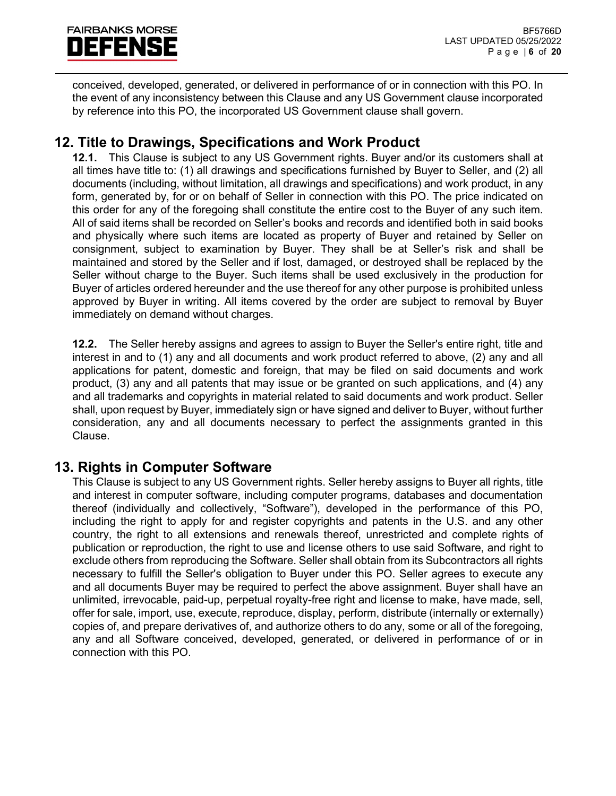

conceived, developed, generated, or delivered in performance of or in connection with this PO. In the event of any inconsistency between this Clause and any US Government clause incorporated by reference into this PO, the incorporated US Government clause shall govern.

# **12. Title to Drawings, Specifications and Work Product**

**12.1.** This Clause is subject to any US Government rights. Buyer and/or its customers shall at all times have title to: (1) all drawings and specifications furnished by Buyer to Seller, and (2) all documents (including, without limitation, all drawings and specifications) and work product, in any form, generated by, for or on behalf of Seller in connection with this PO. The price indicated on this order for any of the foregoing shall constitute the entire cost to the Buyer of any such item. All of said items shall be recorded on Seller's books and records and identified both in said books and physically where such items are located as property of Buyer and retained by Seller on consignment, subject to examination by Buyer. They shall be at Seller's risk and shall be maintained and stored by the Seller and if lost, damaged, or destroyed shall be replaced by the Seller without charge to the Buyer. Such items shall be used exclusively in the production for Buyer of articles ordered hereunder and the use thereof for any other purpose is prohibited unless approved by Buyer in writing. All items covered by the order are subject to removal by Buyer immediately on demand without charges.

**12.2.** The Seller hereby assigns and agrees to assign to Buyer the Seller's entire right, title and interest in and to (1) any and all documents and work product referred to above, (2) any and all applications for patent, domestic and foreign, that may be filed on said documents and work product, (3) any and all patents that may issue or be granted on such applications, and (4) any and all trademarks and copyrights in material related to said documents and work product. Seller shall, upon request by Buyer, immediately sign or have signed and deliver to Buyer, without further consideration, any and all documents necessary to perfect the assignments granted in this Clause.

# **13. Rights in Computer Software**

This Clause is subject to any US Government rights. Seller hereby assigns to Buyer all rights, title and interest in computer software, including computer programs, databases and documentation thereof (individually and collectively, "Software"), developed in the performance of this PO, including the right to apply for and register copyrights and patents in the U.S. and any other country, the right to all extensions and renewals thereof, unrestricted and complete rights of publication or reproduction, the right to use and license others to use said Software, and right to exclude others from reproducing the Software. Seller shall obtain from its Subcontractors all rights necessary to fulfill the Seller's obligation to Buyer under this PO. Seller agrees to execute any and all documents Buyer may be required to perfect the above assignment. Buyer shall have an unlimited, irrevocable, paid-up, perpetual royalty-free right and license to make, have made, sell, offer for sale, import, use, execute, reproduce, display, perform, distribute (internally or externally) copies of, and prepare derivatives of, and authorize others to do any, some or all of the foregoing, any and all Software conceived, developed, generated, or delivered in performance of or in connection with this PO.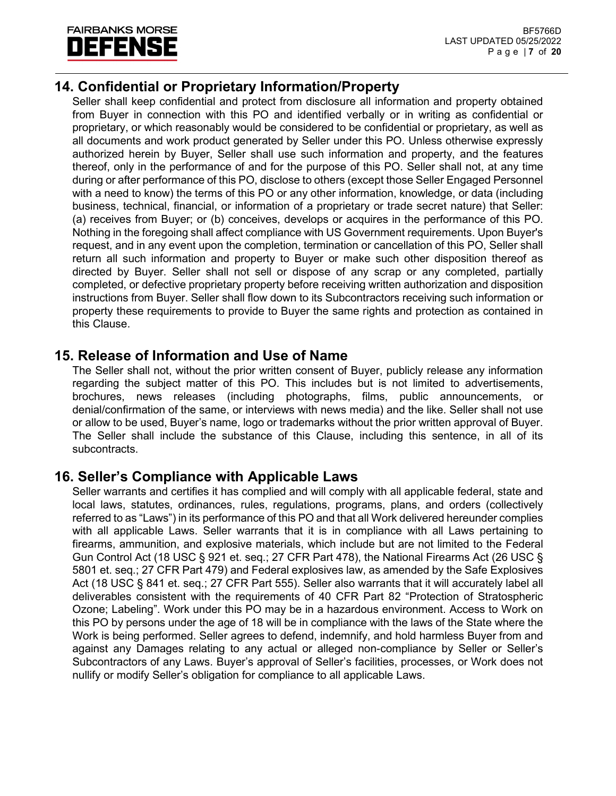

# **14. Confidential or Proprietary Information/Property**

Seller shall keep confidential and protect from disclosure all information and property obtained from Buyer in connection with this PO and identified verbally or in writing as confidential or proprietary, or which reasonably would be considered to be confidential or proprietary, as well as all documents and work product generated by Seller under this PO. Unless otherwise expressly authorized herein by Buyer, Seller shall use such information and property, and the features thereof, only in the performance of and for the purpose of this PO. Seller shall not, at any time during or after performance of this PO, disclose to others (except those Seller Engaged Personnel with a need to know) the terms of this PO or any other information, knowledge, or data (including business, technical, financial, or information of a proprietary or trade secret nature) that Seller: (a) receives from Buyer; or (b) conceives, develops or acquires in the performance of this PO. Nothing in the foregoing shall affect compliance with US Government requirements. Upon Buyer's request, and in any event upon the completion, termination or cancellation of this PO, Seller shall return all such information and property to Buyer or make such other disposition thereof as directed by Buyer. Seller shall not sell or dispose of any scrap or any completed, partially completed, or defective proprietary property before receiving written authorization and disposition instructions from Buyer. Seller shall flow down to its Subcontractors receiving such information or property these requirements to provide to Buyer the same rights and protection as contained in this Clause.

#### **15. Release of Information and Use of Name**

The Seller shall not, without the prior written consent of Buyer, publicly release any information regarding the subject matter of this PO. This includes but is not limited to advertisements, brochures, news releases (including photographs, films, public announcements, or denial/confirmation of the same, or interviews with news media) and the like. Seller shall not use or allow to be used, Buyer's name, logo or trademarks without the prior written approval of Buyer. The Seller shall include the substance of this Clause, including this sentence, in all of its subcontracts.

# **16. Seller's Compliance with Applicable Laws**

Seller warrants and certifies it has complied and will comply with all applicable federal, state and local laws, statutes, ordinances, rules, regulations, programs, plans, and orders (collectively referred to as "Laws") in its performance of this PO and that all Work delivered hereunder complies with all applicable Laws. Seller warrants that it is in compliance with all Laws pertaining to firearms, ammunition, and explosive materials, which include but are not limited to the Federal Gun Control Act (18 USC § 921 et. seq.; 27 CFR Part 478), the National Firearms Act (26 USC § 5801 et. seq.; 27 CFR Part 479) and Federal explosives law, as amended by the Safe Explosives Act (18 USC § 841 et. seq.; 27 CFR Part 555). Seller also warrants that it will accurately label all deliverables consistent with the requirements of 40 CFR Part 82 "Protection of Stratospheric Ozone; Labeling". Work under this PO may be in a hazardous environment. Access to Work on this PO by persons under the age of 18 will be in compliance with the laws of the State where the Work is being performed. Seller agrees to defend, indemnify, and hold harmless Buyer from and against any Damages relating to any actual or alleged non-compliance by Seller or Seller's Subcontractors of any Laws. Buyer's approval of Seller's facilities, processes, or Work does not nullify or modify Seller's obligation for compliance to all applicable Laws.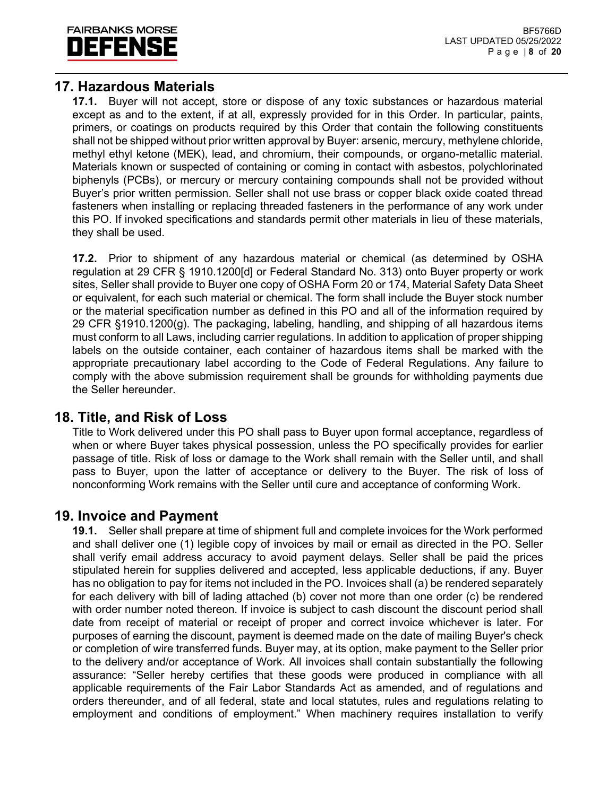

#### **17. Hazardous Materials**

**17.1.** Buyer will not accept, store or dispose of any toxic substances or hazardous material except as and to the extent, if at all, expressly provided for in this Order. In particular, paints, primers, or coatings on products required by this Order that contain the following constituents shall not be shipped without prior written approval by Buyer: arsenic, mercury, methylene chloride, methyl ethyl ketone (MEK), lead, and chromium, their compounds, or organo-metallic material. Materials known or suspected of containing or coming in contact with asbestos, polychlorinated biphenyls (PCBs), or mercury or mercury containing compounds shall not be provided without Buyer's prior written permission. Seller shall not use brass or copper black oxide coated thread fasteners when installing or replacing threaded fasteners in the performance of any work under this PO. If invoked specifications and standards permit other materials in lieu of these materials, they shall be used.

**17.2.** Prior to shipment of any hazardous material or chemical (as determined by OSHA regulation at 29 CFR § 1910.1200[d] or Federal Standard No. 313) onto Buyer property or work sites, Seller shall provide to Buyer one copy of OSHA Form 20 or 174, Material Safety Data Sheet or equivalent, for each such material or chemical. The form shall include the Buyer stock number or the material specification number as defined in this PO and all of the information required by 29 CFR §1910.1200(g). The packaging, labeling, handling, and shipping of all hazardous items must conform to all Laws, including carrier regulations. In addition to application of proper shipping labels on the outside container, each container of hazardous items shall be marked with the appropriate precautionary label according to the Code of Federal Regulations. Any failure to comply with the above submission requirement shall be grounds for withholding payments due the Seller hereunder.

# **18. Title, and Risk of Loss**

Title to Work delivered under this PO shall pass to Buyer upon formal acceptance, regardless of when or where Buyer takes physical possession, unless the PO specifically provides for earlier passage of title. Risk of loss or damage to the Work shall remain with the Seller until, and shall pass to Buyer, upon the latter of acceptance or delivery to the Buyer. The risk of loss of nonconforming Work remains with the Seller until cure and acceptance of conforming Work.

#### **19. Invoice and Payment**

**19.1.** Seller shall prepare at time of shipment full and complete invoices for the Work performed and shall deliver one (1) legible copy of invoices by mail or email as directed in the PO. Seller shall verify email address accuracy to avoid payment delays. Seller shall be paid the prices stipulated herein for supplies delivered and accepted, less applicable deductions, if any. Buyer has no obligation to pay for items not included in the PO. Invoices shall (a) be rendered separately for each delivery with bill of lading attached (b) cover not more than one order (c) be rendered with order number noted thereon. If invoice is subject to cash discount the discount period shall date from receipt of material or receipt of proper and correct invoice whichever is later. For purposes of earning the discount, payment is deemed made on the date of mailing Buyer's check or completion of wire transferred funds. Buyer may, at its option, make payment to the Seller prior to the delivery and/or acceptance of Work. All invoices shall contain substantially the following assurance: "Seller hereby certifies that these goods were produced in compliance with all applicable requirements of the Fair Labor Standards Act as amended, and of regulations and orders thereunder, and of all federal, state and local statutes, rules and regulations relating to employment and conditions of employment." When machinery requires installation to verify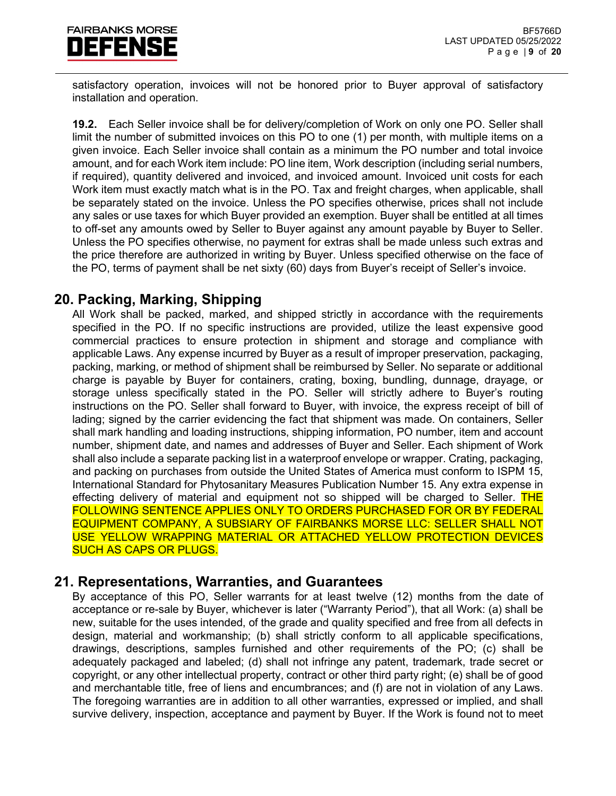# **FAIRBANKS MORSE** FFN

satisfactory operation, invoices will not be honored prior to Buyer approval of satisfactory installation and operation.

**19.2.** Each Seller invoice shall be for delivery/completion of Work on only one PO. Seller shall limit the number of submitted invoices on this PO to one (1) per month, with multiple items on a given invoice. Each Seller invoice shall contain as a minimum the PO number and total invoice amount, and for each Work item include: PO line item, Work description (including serial numbers, if required), quantity delivered and invoiced, and invoiced amount. Invoiced unit costs for each Work item must exactly match what is in the PO. Tax and freight charges, when applicable, shall be separately stated on the invoice. Unless the PO specifies otherwise, prices shall not include any sales or use taxes for which Buyer provided an exemption. Buyer shall be entitled at all times to off-set any amounts owed by Seller to Buyer against any amount payable by Buyer to Seller. Unless the PO specifies otherwise, no payment for extras shall be made unless such extras and the price therefore are authorized in writing by Buyer. Unless specified otherwise on the face of the PO, terms of payment shall be net sixty (60) days from Buyer's receipt of Seller's invoice.

# **20. Packing, Marking, Shipping**

All Work shall be packed, marked, and shipped strictly in accordance with the requirements specified in the PO. If no specific instructions are provided, utilize the least expensive good commercial practices to ensure protection in shipment and storage and compliance with applicable Laws. Any expense incurred by Buyer as a result of improper preservation, packaging, packing, marking, or method of shipment shall be reimbursed by Seller. No separate or additional charge is payable by Buyer for containers, crating, boxing, bundling, dunnage, drayage, or storage unless specifically stated in the PO. Seller will strictly adhere to Buyer's routing instructions on the PO. Seller shall forward to Buyer, with invoice, the express receipt of bill of lading; signed by the carrier evidencing the fact that shipment was made. On containers, Seller shall mark handling and loading instructions, shipping information, PO number, item and account number, shipment date, and names and addresses of Buyer and Seller. Each shipment of Work shall also include a separate packing list in a waterproof envelope or wrapper. Crating, packaging, and packing on purchases from outside the United States of America must conform to ISPM 15, International Standard for Phytosanitary Measures Publication Number 15. Any extra expense in effecting delivery of material and equipment not so shipped will be charged to Seller. THE FOLLOWING SENTENCE APPLIES ONLY TO ORDERS PURCHASED FOR OR BY FEDERAL EQUIPMENT COMPANY, A SUBSIARY OF FAIRBANKS MORSE LLC: SELLER SHALL NOT USE YELLOW WRAPPING MATERIAL OR ATTACHED YELLOW PROTECTION DEVICES SUCH AS CAPS OR PLUGS.

# **21. Representations, Warranties, and Guarantees**

By acceptance of this PO, Seller warrants for at least twelve (12) months from the date of acceptance or re-sale by Buyer, whichever is later ("Warranty Period"), that all Work: (a) shall be new, suitable for the uses intended, of the grade and quality specified and free from all defects in design, material and workmanship; (b) shall strictly conform to all applicable specifications, drawings, descriptions, samples furnished and other requirements of the PO; (c) shall be adequately packaged and labeled; (d) shall not infringe any patent, trademark, trade secret or copyright, or any other intellectual property, contract or other third party right; (e) shall be of good and merchantable title, free of liens and encumbrances; and (f) are not in violation of any Laws. The foregoing warranties are in addition to all other warranties, expressed or implied, and shall survive delivery, inspection, acceptance and payment by Buyer. If the Work is found not to meet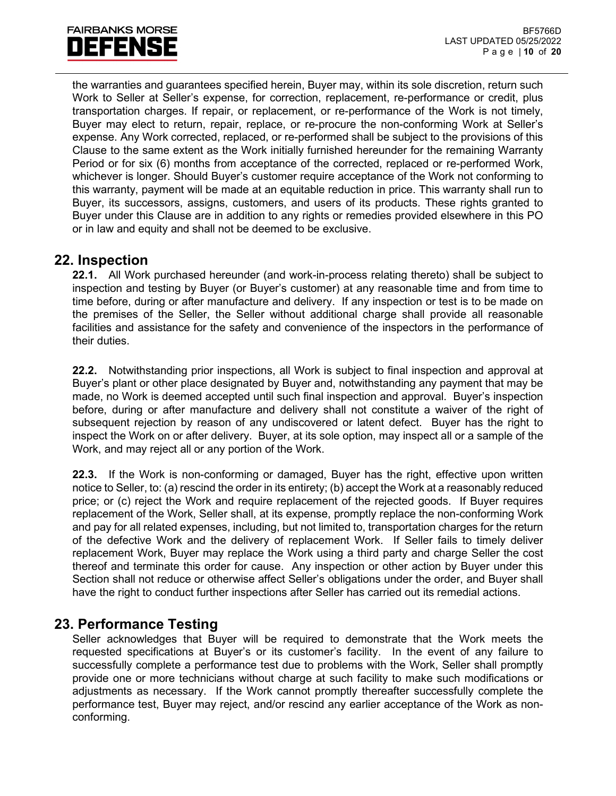

the warranties and guarantees specified herein, Buyer may, within its sole discretion, return such Work to Seller at Seller's expense, for correction, replacement, re-performance or credit, plus transportation charges. If repair, or replacement, or re-performance of the Work is not timely, Buyer may elect to return, repair, replace, or re-procure the non-conforming Work at Seller's expense. Any Work corrected, replaced, or re-performed shall be subject to the provisions of this Clause to the same extent as the Work initially furnished hereunder for the remaining Warranty Period or for six (6) months from acceptance of the corrected, replaced or re-performed Work, whichever is longer. Should Buyer's customer require acceptance of the Work not conforming to this warranty, payment will be made at an equitable reduction in price. This warranty shall run to Buyer, its successors, assigns, customers, and users of its products. These rights granted to Buyer under this Clause are in addition to any rights or remedies provided elsewhere in this PO or in law and equity and shall not be deemed to be exclusive.

# **22. Inspection**

**22.1.** All Work purchased hereunder (and work-in-process relating thereto) shall be subject to inspection and testing by Buyer (or Buyer's customer) at any reasonable time and from time to time before, during or after manufacture and delivery. If any inspection or test is to be made on the premises of the Seller, the Seller without additional charge shall provide all reasonable facilities and assistance for the safety and convenience of the inspectors in the performance of their duties.

**22.2.** Notwithstanding prior inspections, all Work is subject to final inspection and approval at Buyer's plant or other place designated by Buyer and, notwithstanding any payment that may be made, no Work is deemed accepted until such final inspection and approval. Buyer's inspection before, during or after manufacture and delivery shall not constitute a waiver of the right of subsequent rejection by reason of any undiscovered or latent defect. Buyer has the right to inspect the Work on or after delivery. Buyer, at its sole option, may inspect all or a sample of the Work, and may reject all or any portion of the Work.

**22.3.** If the Work is non-conforming or damaged, Buyer has the right, effective upon written notice to Seller, to: (a) rescind the order in its entirety; (b) accept the Work at a reasonably reduced price; or (c) reject the Work and require replacement of the rejected goods. If Buyer requires replacement of the Work, Seller shall, at its expense, promptly replace the non-conforming Work and pay for all related expenses, including, but not limited to, transportation charges for the return of the defective Work and the delivery of replacement Work. If Seller fails to timely deliver replacement Work, Buyer may replace the Work using a third party and charge Seller the cost thereof and terminate this order for cause. Any inspection or other action by Buyer under this Section shall not reduce or otherwise affect Seller's obligations under the order, and Buyer shall have the right to conduct further inspections after Seller has carried out its remedial actions.

# **23. Performance Testing**

Seller acknowledges that Buyer will be required to demonstrate that the Work meets the requested specifications at Buyer's or its customer's facility. In the event of any failure to successfully complete a performance test due to problems with the Work, Seller shall promptly provide one or more technicians without charge at such facility to make such modifications or adjustments as necessary. If the Work cannot promptly thereafter successfully complete the performance test, Buyer may reject, and/or rescind any earlier acceptance of the Work as nonconforming.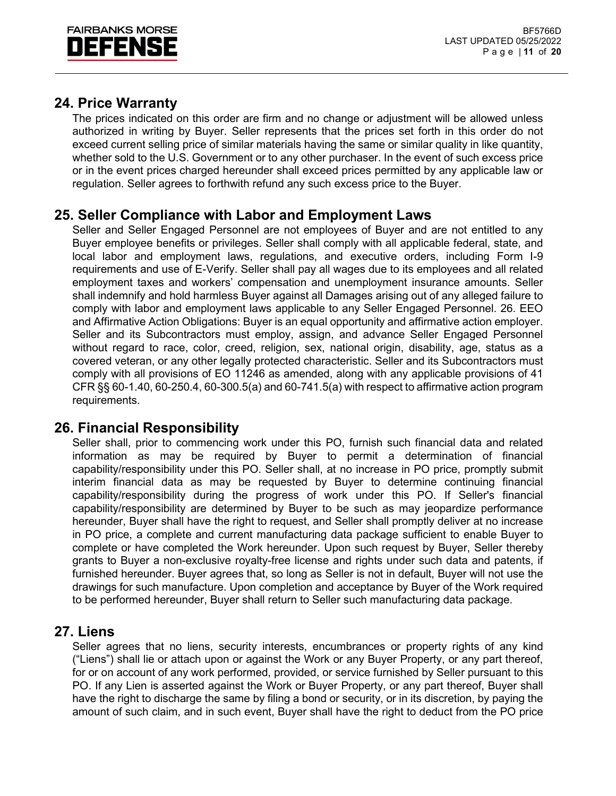

# **24. Price Warranty**

The prices indicated on this order are firm and no change or adjustment will be allowed unless authorized in writing by Buyer. Seller represents that the prices set forth in this order do not exceed current selling price of similar materials having the same or similar quality in like quantity, whether sold to the U.S. Government or to any other purchaser. In the event of such excess price or in the event prices charged hereunder shall exceed prices permitted by any applicable law or regulation. Seller agrees to forthwith refund any such excess price to the Buyer.

# **25. Seller Compliance with Labor and Employment Laws**

Seller and Seller Engaged Personnel are not employees of Buyer and are not entitled to any Buyer employee benefits or privileges. Seller shall comply with all applicable federal, state, and local labor and employment laws, regulations, and executive orders, including Form I-9 requirements and use of E-Verify. Seller shall pay all wages due to its employees and all related employment taxes and workers' compensation and unemployment insurance amounts. Seller shall indemnify and hold harmless Buyer against all Damages arising out of any alleged failure to comply with labor and employment laws applicable to any Seller Engaged Personnel. 26. EEO and Affirmative Action Obligations: Buyer is an equal opportunity and affirmative action employer. Seller and its Subcontractors must employ, assign, and advance Seller Engaged Personnel without regard to race, color, creed, religion, sex, national origin, disability, age, status as a covered veteran, or any other legally protected characteristic. Seller and its Subcontractors must comply with all provisions of EO 11246 as amended, along with any applicable provisions of 41 CFR §§ 60-1.40, 60-250.4, 60-300.5(a) and 60-741.5(a) with respect to affirmative action program requirements.

# **26. Financial Responsibility**

Seller shall, prior to commencing work under this PO, furnish such financial data and related information as may be required by Buyer to permit a determination of financial capability/responsibility under this PO. Seller shall, at no increase in PO price, promptly submit interim financial data as may be requested by Buyer to determine continuing financial capability/responsibility during the progress of work under this PO. If Seller's financial capability/responsibility are determined by Buyer to be such as may jeopardize performance hereunder, Buyer shall have the right to request, and Seller shall promptly deliver at no increase in PO price, a complete and current manufacturing data package sufficient to enable Buyer to complete or have completed the Work hereunder. Upon such request by Buyer, Seller thereby grants to Buyer a non-exclusive royalty-free license and rights under such data and patents, if furnished hereunder. Buyer agrees that, so long as Seller is not in default, Buyer will not use the drawings for such manufacture. Upon completion and acceptance by Buyer of the Work required to be performed hereunder, Buyer shall return to Seller such manufacturing data package.

# **27. Liens**

Seller agrees that no liens, security interests, encumbrances or property rights of any kind ("Liens") shall lie or attach upon or against the Work or any Buyer Property, or any part thereof, for or on account of any work performed, provided, or service furnished by Seller pursuant to this PO. If any Lien is asserted against the Work or Buyer Property, or any part thereof, Buyer shall have the right to discharge the same by filing a bond or security, or in its discretion, by paying the amount of such claim, and in such event, Buyer shall have the right to deduct from the PO price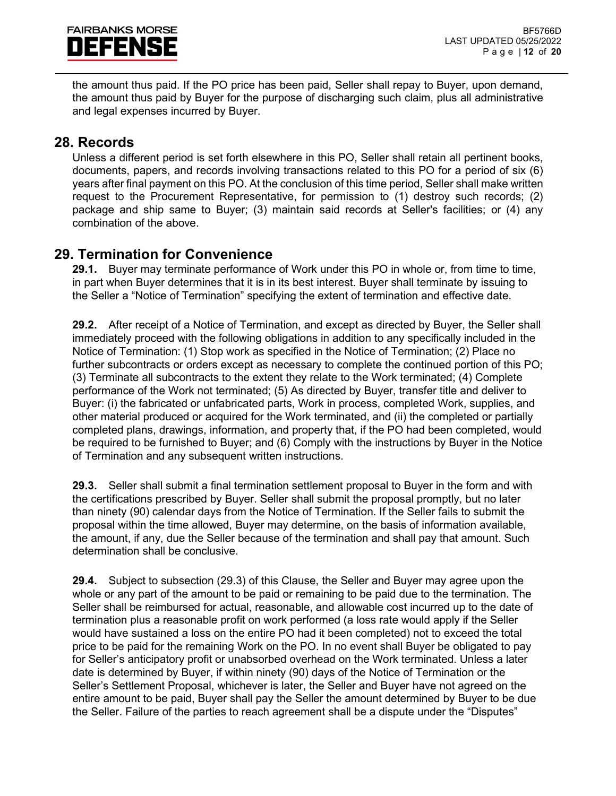

the amount thus paid. If the PO price has been paid, Seller shall repay to Buyer, upon demand, the amount thus paid by Buyer for the purpose of discharging such claim, plus all administrative and legal expenses incurred by Buyer.

# **28. Records**

Unless a different period is set forth elsewhere in this PO, Seller shall retain all pertinent books, documents, papers, and records involving transactions related to this PO for a period of six (6) years after final payment on this PO. At the conclusion of this time period, Seller shall make written request to the Procurement Representative, for permission to (1) destroy such records; (2) package and ship same to Buyer; (3) maintain said records at Seller's facilities; or (4) any combination of the above.

# **29. Termination for Convenience**

**29.1.** Buyer may terminate performance of Work under this PO in whole or, from time to time, in part when Buyer determines that it is in its best interest. Buyer shall terminate by issuing to the Seller a "Notice of Termination" specifying the extent of termination and effective date.

**29.2.** After receipt of a Notice of Termination, and except as directed by Buyer, the Seller shall immediately proceed with the following obligations in addition to any specifically included in the Notice of Termination: (1) Stop work as specified in the Notice of Termination; (2) Place no further subcontracts or orders except as necessary to complete the continued portion of this PO; (3) Terminate all subcontracts to the extent they relate to the Work terminated; (4) Complete performance of the Work not terminated; (5) As directed by Buyer, transfer title and deliver to Buyer: (i) the fabricated or unfabricated parts, Work in process, completed Work, supplies, and other material produced or acquired for the Work terminated, and (ii) the completed or partially completed plans, drawings, information, and property that, if the PO had been completed, would be required to be furnished to Buyer; and (6) Comply with the instructions by Buyer in the Notice of Termination and any subsequent written instructions.

**29.3.** Seller shall submit a final termination settlement proposal to Buyer in the form and with the certifications prescribed by Buyer. Seller shall submit the proposal promptly, but no later than ninety (90) calendar days from the Notice of Termination. If the Seller fails to submit the proposal within the time allowed, Buyer may determine, on the basis of information available, the amount, if any, due the Seller because of the termination and shall pay that amount. Such determination shall be conclusive.

**29.4.** Subject to subsection (29.3) of this Clause, the Seller and Buyer may agree upon the whole or any part of the amount to be paid or remaining to be paid due to the termination. The Seller shall be reimbursed for actual, reasonable, and allowable cost incurred up to the date of termination plus a reasonable profit on work performed (a loss rate would apply if the Seller would have sustained a loss on the entire PO had it been completed) not to exceed the total price to be paid for the remaining Work on the PO. In no event shall Buyer be obligated to pay for Seller's anticipatory profit or unabsorbed overhead on the Work terminated. Unless a later date is determined by Buyer, if within ninety (90) days of the Notice of Termination or the Seller's Settlement Proposal, whichever is later, the Seller and Buyer have not agreed on the entire amount to be paid, Buyer shall pay the Seller the amount determined by Buyer to be due the Seller. Failure of the parties to reach agreement shall be a dispute under the "Disputes"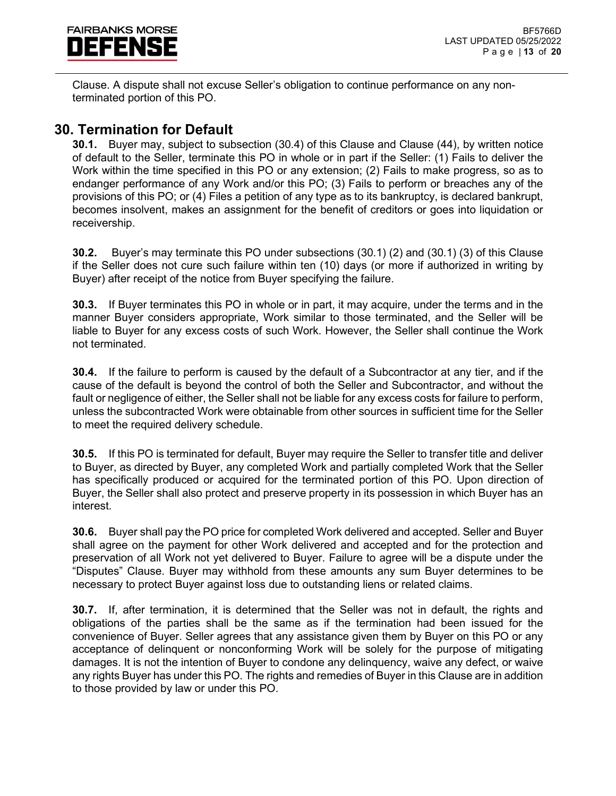

Clause. A dispute shall not excuse Seller's obligation to continue performance on any nonterminated portion of this PO.

#### **30. Termination for Default**

**30.1.** Buyer may, subject to subsection (30.4) of this Clause and Clause (44), by written notice of default to the Seller, terminate this PO in whole or in part if the Seller: (1) Fails to deliver the Work within the time specified in this PO or any extension; (2) Fails to make progress, so as to endanger performance of any Work and/or this PO; (3) Fails to perform or breaches any of the provisions of this PO; or (4) Files a petition of any type as to its bankruptcy, is declared bankrupt, becomes insolvent, makes an assignment for the benefit of creditors or goes into liquidation or receivership.

**30.2.** Buyer's may terminate this PO under subsections (30.1) (2) and (30.1) (3) of this Clause if the Seller does not cure such failure within ten (10) days (or more if authorized in writing by Buyer) after receipt of the notice from Buyer specifying the failure.

**30.3.** If Buyer terminates this PO in whole or in part, it may acquire, under the terms and in the manner Buyer considers appropriate, Work similar to those terminated, and the Seller will be liable to Buyer for any excess costs of such Work. However, the Seller shall continue the Work not terminated.

**30.4.** If the failure to perform is caused by the default of a Subcontractor at any tier, and if the cause of the default is beyond the control of both the Seller and Subcontractor, and without the fault or negligence of either, the Seller shall not be liable for any excess costs for failure to perform, unless the subcontracted Work were obtainable from other sources in sufficient time for the Seller to meet the required delivery schedule.

**30.5.** If this PO is terminated for default, Buyer may require the Seller to transfer title and deliver to Buyer, as directed by Buyer, any completed Work and partially completed Work that the Seller has specifically produced or acquired for the terminated portion of this PO. Upon direction of Buyer, the Seller shall also protect and preserve property in its possession in which Buyer has an interest.

**30.6.** Buyer shall pay the PO price for completed Work delivered and accepted. Seller and Buyer shall agree on the payment for other Work delivered and accepted and for the protection and preservation of all Work not yet delivered to Buyer. Failure to agree will be a dispute under the "Disputes" Clause. Buyer may withhold from these amounts any sum Buyer determines to be necessary to protect Buyer against loss due to outstanding liens or related claims.

**30.7.** If, after termination, it is determined that the Seller was not in default, the rights and obligations of the parties shall be the same as if the termination had been issued for the convenience of Buyer. Seller agrees that any assistance given them by Buyer on this PO or any acceptance of delinquent or nonconforming Work will be solely for the purpose of mitigating damages. It is not the intention of Buyer to condone any delinquency, waive any defect, or waive any rights Buyer has under this PO. The rights and remedies of Buyer in this Clause are in addition to those provided by law or under this PO.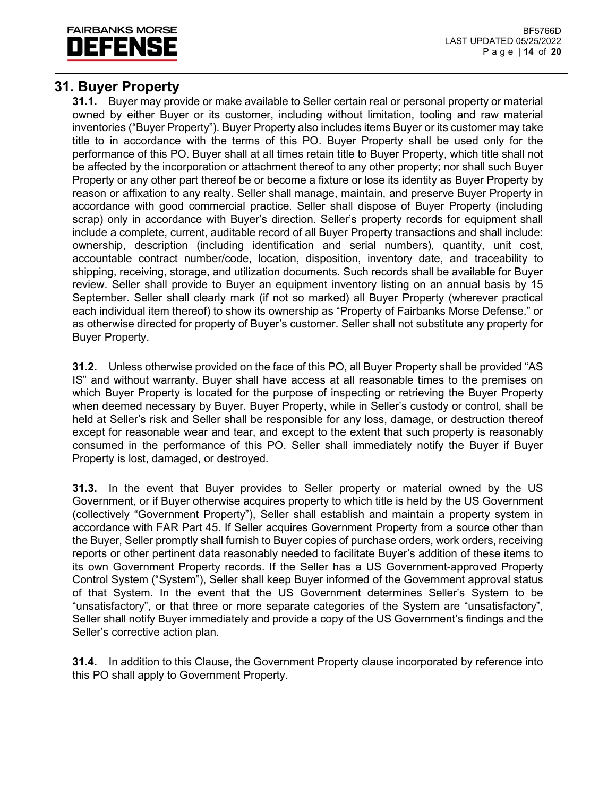

# **31. Buyer Property**

**31.1.** Buyer may provide or make available to Seller certain real or personal property or material owned by either Buyer or its customer, including without limitation, tooling and raw material inventories ("Buyer Property"). Buyer Property also includes items Buyer or its customer may take title to in accordance with the terms of this PO. Buyer Property shall be used only for the performance of this PO. Buyer shall at all times retain title to Buyer Property, which title shall not be affected by the incorporation or attachment thereof to any other property; nor shall such Buyer Property or any other part thereof be or become a fixture or lose its identity as Buyer Property by reason or affixation to any realty. Seller shall manage, maintain, and preserve Buyer Property in accordance with good commercial practice. Seller shall dispose of Buyer Property (including scrap) only in accordance with Buyer's direction. Seller's property records for equipment shall include a complete, current, auditable record of all Buyer Property transactions and shall include: ownership, description (including identification and serial numbers), quantity, unit cost, accountable contract number/code, location, disposition, inventory date, and traceability to shipping, receiving, storage, and utilization documents. Such records shall be available for Buyer review. Seller shall provide to Buyer an equipment inventory listing on an annual basis by 15 September. Seller shall clearly mark (if not so marked) all Buyer Property (wherever practical each individual item thereof) to show its ownership as "Property of Fairbanks Morse Defense." or as otherwise directed for property of Buyer's customer. Seller shall not substitute any property for Buyer Property.

**31.2.** Unless otherwise provided on the face of this PO, all Buyer Property shall be provided "AS IS" and without warranty. Buyer shall have access at all reasonable times to the premises on which Buyer Property is located for the purpose of inspecting or retrieving the Buyer Property when deemed necessary by Buyer. Buyer Property, while in Seller's custody or control, shall be held at Seller's risk and Seller shall be responsible for any loss, damage, or destruction thereof except for reasonable wear and tear, and except to the extent that such property is reasonably consumed in the performance of this PO. Seller shall immediately notify the Buyer if Buyer Property is lost, damaged, or destroyed.

**31.3.** In the event that Buyer provides to Seller property or material owned by the US Government, or if Buyer otherwise acquires property to which title is held by the US Government (collectively "Government Property"), Seller shall establish and maintain a property system in accordance with FAR Part 45. If Seller acquires Government Property from a source other than the Buyer, Seller promptly shall furnish to Buyer copies of purchase orders, work orders, receiving reports or other pertinent data reasonably needed to facilitate Buyer's addition of these items to its own Government Property records. If the Seller has a US Government-approved Property Control System ("System"), Seller shall keep Buyer informed of the Government approval status of that System. In the event that the US Government determines Seller's System to be "unsatisfactory", or that three or more separate categories of the System are "unsatisfactory", Seller shall notify Buyer immediately and provide a copy of the US Government's findings and the Seller's corrective action plan.

**31.4.** In addition to this Clause, the Government Property clause incorporated by reference into this PO shall apply to Government Property.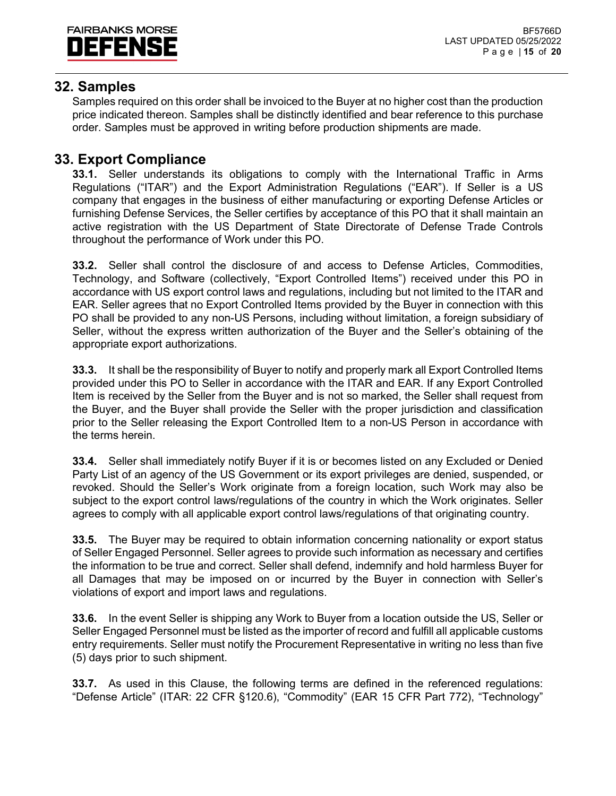

#### **32. Samples**

Samples required on this order shall be invoiced to the Buyer at no higher cost than the production price indicated thereon. Samples shall be distinctly identified and bear reference to this purchase order. Samples must be approved in writing before production shipments are made.

#### **33. Export Compliance**

**33.1.** Seller understands its obligations to comply with the International Traffic in Arms Regulations ("ITAR") and the Export Administration Regulations ("EAR"). If Seller is a US company that engages in the business of either manufacturing or exporting Defense Articles or furnishing Defense Services, the Seller certifies by acceptance of this PO that it shall maintain an active registration with the US Department of State Directorate of Defense Trade Controls throughout the performance of Work under this PO.

**33.2.** Seller shall control the disclosure of and access to Defense Articles, Commodities, Technology, and Software (collectively, "Export Controlled Items") received under this PO in accordance with US export control laws and regulations, including but not limited to the ITAR and EAR. Seller agrees that no Export Controlled Items provided by the Buyer in connection with this PO shall be provided to any non-US Persons, including without limitation, a foreign subsidiary of Seller, without the express written authorization of the Buyer and the Seller's obtaining of the appropriate export authorizations.

**33.3.** It shall be the responsibility of Buyer to notify and properly mark all Export Controlled Items provided under this PO to Seller in accordance with the ITAR and EAR. If any Export Controlled Item is received by the Seller from the Buyer and is not so marked, the Seller shall request from the Buyer, and the Buyer shall provide the Seller with the proper jurisdiction and classification prior to the Seller releasing the Export Controlled Item to a non-US Person in accordance with the terms herein.

**33.4.** Seller shall immediately notify Buyer if it is or becomes listed on any Excluded or Denied Party List of an agency of the US Government or its export privileges are denied, suspended, or revoked. Should the Seller's Work originate from a foreign location, such Work may also be subject to the export control laws/regulations of the country in which the Work originates. Seller agrees to comply with all applicable export control laws/regulations of that originating country.

**33.5.** The Buyer may be required to obtain information concerning nationality or export status of Seller Engaged Personnel. Seller agrees to provide such information as necessary and certifies the information to be true and correct. Seller shall defend, indemnify and hold harmless Buyer for all Damages that may be imposed on or incurred by the Buyer in connection with Seller's violations of export and import laws and regulations.

**33.6.** In the event Seller is shipping any Work to Buyer from a location outside the US, Seller or Seller Engaged Personnel must be listed as the importer of record and fulfill all applicable customs entry requirements. Seller must notify the Procurement Representative in writing no less than five (5) days prior to such shipment.

**33.7.** As used in this Clause, the following terms are defined in the referenced regulations: "Defense Article" (ITAR: 22 CFR §120.6), "Commodity" (EAR 15 CFR Part 772), "Technology"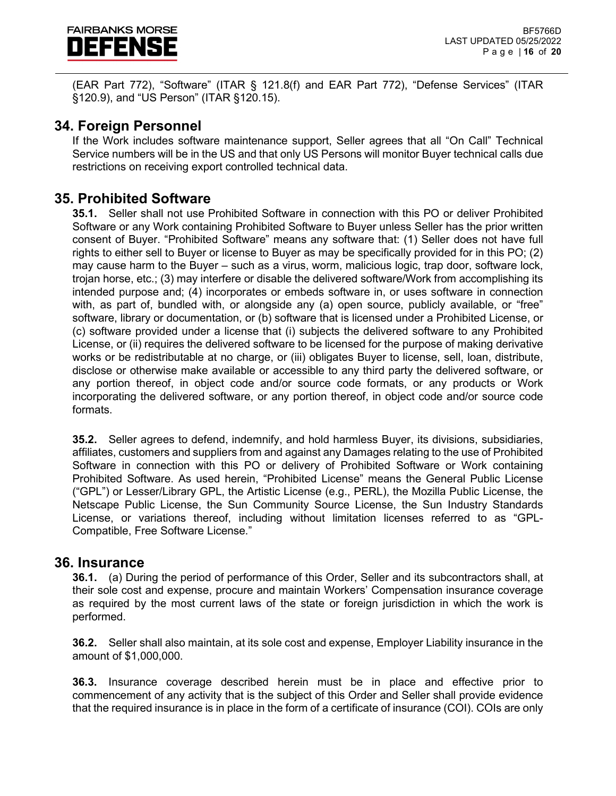

(EAR Part 772), "Software" (ITAR § 121.8(f) and EAR Part 772), "Defense Services" (ITAR §120.9), and "US Person" (ITAR §120.15).

# **34. Foreign Personnel**

If the Work includes software maintenance support, Seller agrees that all "On Call" Technical Service numbers will be in the US and that only US Persons will monitor Buyer technical calls due restrictions on receiving export controlled technical data.

#### **35. Prohibited Software**

**35.1.** Seller shall not use Prohibited Software in connection with this PO or deliver Prohibited Software or any Work containing Prohibited Software to Buyer unless Seller has the prior written consent of Buyer. "Prohibited Software" means any software that: (1) Seller does not have full rights to either sell to Buyer or license to Buyer as may be specifically provided for in this PO; (2) may cause harm to the Buyer – such as a virus, worm, malicious logic, trap door, software lock, trojan horse, etc.; (3) may interfere or disable the delivered software/Work from accomplishing its intended purpose and; (4) incorporates or embeds software in, or uses software in connection with, as part of, bundled with, or alongside any (a) open source, publicly available, or "free" software, library or documentation, or (b) software that is licensed under a Prohibited License, or (c) software provided under a license that (i) subjects the delivered software to any Prohibited License, or (ii) requires the delivered software to be licensed for the purpose of making derivative works or be redistributable at no charge, or (iii) obligates Buyer to license, sell, loan, distribute, disclose or otherwise make available or accessible to any third party the delivered software, or any portion thereof, in object code and/or source code formats, or any products or Work incorporating the delivered software, or any portion thereof, in object code and/or source code formats.

**35.2.** Seller agrees to defend, indemnify, and hold harmless Buyer, its divisions, subsidiaries, affiliates, customers and suppliers from and against any Damages relating to the use of Prohibited Software in connection with this PO or delivery of Prohibited Software or Work containing Prohibited Software. As used herein, "Prohibited License" means the General Public License ("GPL") or Lesser/Library GPL, the Artistic License (e.g., PERL), the Mozilla Public License, the Netscape Public License, the Sun Community Source License, the Sun Industry Standards License, or variations thereof, including without limitation licenses referred to as "GPL-Compatible, Free Software License."

#### **36. Insurance**

**36.1.** (a) During the period of performance of this Order, Seller and its subcontractors shall, at their sole cost and expense, procure and maintain Workers' Compensation insurance coverage as required by the most current laws of the state or foreign jurisdiction in which the work is performed.

**36.2.** Seller shall also maintain, at its sole cost and expense, Employer Liability insurance in the amount of \$1,000,000.

**36.3.** Insurance coverage described herein must be in place and effective prior to commencement of any activity that is the subject of this Order and Seller shall provide evidence that the required insurance is in place in the form of a certificate of insurance (COI). COIs are only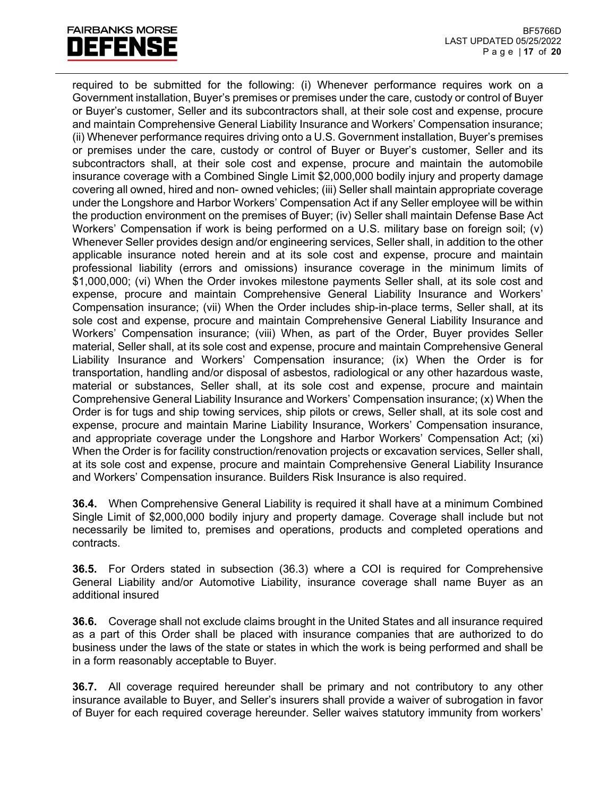# **FAIRBANKS MORSE** FFFN

required to be submitted for the following: (i) Whenever performance requires work on a Government installation, Buyer's premises or premises under the care, custody or control of Buyer or Buyer's customer, Seller and its subcontractors shall, at their sole cost and expense, procure and maintain Comprehensive General Liability Insurance and Workers' Compensation insurance; (ii) Whenever performance requires driving onto a U.S. Government installation, Buyer's premises or premises under the care, custody or control of Buyer or Buyer's customer, Seller and its subcontractors shall, at their sole cost and expense, procure and maintain the automobile insurance coverage with a Combined Single Limit \$2,000,000 bodily injury and property damage covering all owned, hired and non- owned vehicles; (iii) Seller shall maintain appropriate coverage under the Longshore and Harbor Workers' Compensation Act if any Seller employee will be within the production environment on the premises of Buyer; (iv) Seller shall maintain Defense Base Act Workers' Compensation if work is being performed on a U.S. military base on foreign soil; (v) Whenever Seller provides design and/or engineering services, Seller shall, in addition to the other applicable insurance noted herein and at its sole cost and expense, procure and maintain professional liability (errors and omissions) insurance coverage in the minimum limits of \$1,000,000; (vi) When the Order invokes milestone payments Seller shall, at its sole cost and expense, procure and maintain Comprehensive General Liability Insurance and Workers' Compensation insurance; (vii) When the Order includes ship-in-place terms, Seller shall, at its sole cost and expense, procure and maintain Comprehensive General Liability Insurance and Workers' Compensation insurance; (viii) When, as part of the Order, Buyer provides Seller material, Seller shall, at its sole cost and expense, procure and maintain Comprehensive General Liability Insurance and Workers' Compensation insurance; (ix) When the Order is for transportation, handling and/or disposal of asbestos, radiological or any other hazardous waste, material or substances, Seller shall, at its sole cost and expense, procure and maintain Comprehensive General Liability Insurance and Workers' Compensation insurance; (x) When the Order is for tugs and ship towing services, ship pilots or crews, Seller shall, at its sole cost and expense, procure and maintain Marine Liability Insurance, Workers' Compensation insurance, and appropriate coverage under the Longshore and Harbor Workers' Compensation Act; (xi) When the Order is for facility construction/renovation projects or excavation services, Seller shall, at its sole cost and expense, procure and maintain Comprehensive General Liability Insurance and Workers' Compensation insurance. Builders Risk Insurance is also required.

**36.4.** When Comprehensive General Liability is required it shall have at a minimum Combined Single Limit of \$2,000,000 bodily injury and property damage. Coverage shall include but not necessarily be limited to, premises and operations, products and completed operations and contracts.

**36.5.** For Orders stated in subsection (36.3) where a COI is required for Comprehensive General Liability and/or Automotive Liability, insurance coverage shall name Buyer as an additional insured

**36.6.** Coverage shall not exclude claims brought in the United States and all insurance required as a part of this Order shall be placed with insurance companies that are authorized to do business under the laws of the state or states in which the work is being performed and shall be in a form reasonably acceptable to Buyer.

**36.7.** All coverage required hereunder shall be primary and not contributory to any other insurance available to Buyer, and Seller's insurers shall provide a waiver of subrogation in favor of Buyer for each required coverage hereunder. Seller waives statutory immunity from workers'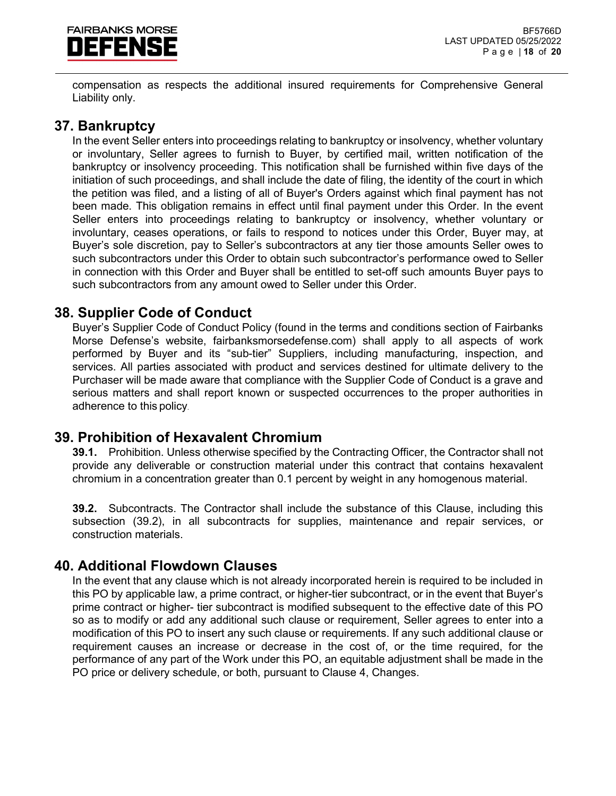

compensation as respects the additional insured requirements for Comprehensive General Liability only.

#### **37. Bankruptcy**

In the event Seller enters into proceedings relating to bankruptcy or insolvency, whether voluntary or involuntary, Seller agrees to furnish to Buyer, by certified mail, written notification of the bankruptcy or insolvency proceeding. This notification shall be furnished within five days of the initiation of such proceedings, and shall include the date of filing, the identity of the court in which the petition was filed, and a listing of all of Buyer's Orders against which final payment has not been made. This obligation remains in effect until final payment under this Order. In the event Seller enters into proceedings relating to bankruptcy or insolvency, whether voluntary or involuntary, ceases operations, or fails to respond to notices under this Order, Buyer may, at Buyer's sole discretion, pay to Seller's subcontractors at any tier those amounts Seller owes to such subcontractors under this Order to obtain such subcontractor's performance owed to Seller in connection with this Order and Buyer shall be entitled to set-off such amounts Buyer pays to such subcontractors from any amount owed to Seller under this Order.

#### **38. Supplier Code of Conduct**

Buyer's Supplier Code of Conduct Policy (found in the terms and conditions section of Fairbanks Morse Defense's website, fairbanksmorsedefense.com) shall apply to all aspects of work performed by Buyer and its "sub-tier" Suppliers, including manufacturing, inspection, and services. All parties associated with product and services destined for ultimate delivery to the Purchaser will be made aware that compliance with the Supplier Code of Conduct is a grave and serious matters and shall report known or suspected occurrences to the proper authorities in adherence to this policy.

# **39. Prohibition of Hexavalent Chromium**

**39.1.** Prohibition. Unless otherwise specified by the Contracting Officer, the Contractor shall not provide any deliverable or construction material under this contract that contains hexavalent chromium in a concentration greater than 0.1 percent by weight in any homogenous material.

**39.2.** Subcontracts. The Contractor shall include the substance of this Clause, including this subsection (39.2), in all subcontracts for supplies, maintenance and repair services, or construction materials.

#### **40. Additional Flowdown Clauses**

In the event that any clause which is not already incorporated herein is required to be included in this PO by applicable law, a prime contract, or higher-tier subcontract, or in the event that Buyer's prime contract or higher- tier subcontract is modified subsequent to the effective date of this PO so as to modify or add any additional such clause or requirement. Seller agrees to enter into a modification of this PO to insert any such clause or requirements. If any such additional clause or requirement causes an increase or decrease in the cost of, or the time required, for the performance of any part of the Work under this PO, an equitable adjustment shall be made in the PO price or delivery schedule, or both, pursuant to Clause 4, Changes.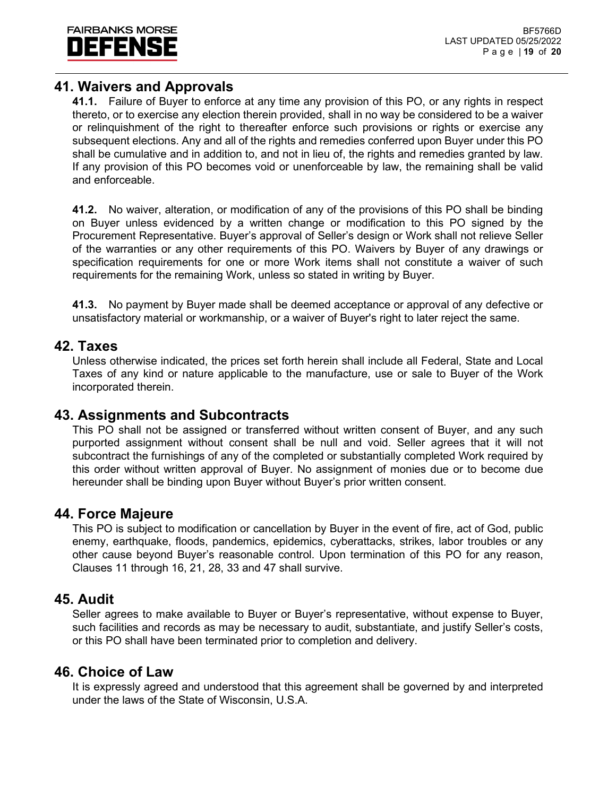

# **41. Waivers and Approvals**

**41.1.** Failure of Buyer to enforce at any time any provision of this PO, or any rights in respect thereto, or to exercise any election therein provided, shall in no way be considered to be a waiver or relinquishment of the right to thereafter enforce such provisions or rights or exercise any subsequent elections. Any and all of the rights and remedies conferred upon Buyer under this PO shall be cumulative and in addition to, and not in lieu of, the rights and remedies granted by law. If any provision of this PO becomes void or unenforceable by law, the remaining shall be valid and enforceable.

**41.2.** No waiver, alteration, or modification of any of the provisions of this PO shall be binding on Buyer unless evidenced by a written change or modification to this PO signed by the Procurement Representative. Buyer's approval of Seller's design or Work shall not relieve Seller of the warranties or any other requirements of this PO. Waivers by Buyer of any drawings or specification requirements for one or more Work items shall not constitute a waiver of such requirements for the remaining Work, unless so stated in writing by Buyer.

**41.3.** No payment by Buyer made shall be deemed acceptance or approval of any defective or unsatisfactory material or workmanship, or a waiver of Buyer's right to later reject the same.

#### **42. Taxes**

Unless otherwise indicated, the prices set forth herein shall include all Federal, State and Local Taxes of any kind or nature applicable to the manufacture, use or sale to Buyer of the Work incorporated therein.

#### **43. Assignments and Subcontracts**

This PO shall not be assigned or transferred without written consent of Buyer, and any such purported assignment without consent shall be null and void. Seller agrees that it will not subcontract the furnishings of any of the completed or substantially completed Work required by this order without written approval of Buyer. No assignment of monies due or to become due hereunder shall be binding upon Buyer without Buyer's prior written consent.

#### **44. Force Majeure**

This PO is subject to modification or cancellation by Buyer in the event of fire, act of God, public enemy, earthquake, floods, pandemics, epidemics, cyberattacks, strikes, labor troubles or any other cause beyond Buyer's reasonable control. Upon termination of this PO for any reason, Clauses 11 through 16, 21, 28, 33 and 47 shall survive.

#### **45. Audit**

Seller agrees to make available to Buyer or Buyer's representative, without expense to Buyer, such facilities and records as may be necessary to audit, substantiate, and justify Seller's costs, or this PO shall have been terminated prior to completion and delivery.

#### **46. Choice of Law**

It is expressly agreed and understood that this agreement shall be governed by and interpreted under the laws of the State of Wisconsin, U.S.A.